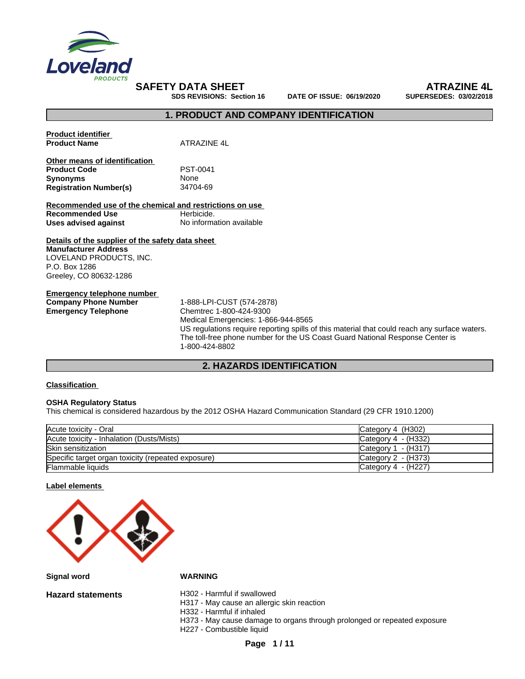

**SDS REVISIONS: Section 16 DATE OF ISSUE: 06/19/2020 SUPERSEDES: 03/02/2018**

**SAFETY DATA SHEET**<br>
SDS REVISIONS: Section 16 DATE OF ISSUE: 06/19/2020 SUPERSEDES: 03/02/2018

## **1. PRODUCT AND COMPANY IDENTIFICATION**

| <b>Product identifier</b><br><b>Product Name</b>                                                                                                      | ATRAZINE 4L                                                                                                                                                                                                                                                                                     |
|-------------------------------------------------------------------------------------------------------------------------------------------------------|-------------------------------------------------------------------------------------------------------------------------------------------------------------------------------------------------------------------------------------------------------------------------------------------------|
| Other means of identification                                                                                                                         |                                                                                                                                                                                                                                                                                                 |
| <b>Product Code</b>                                                                                                                                   | PST-0041                                                                                                                                                                                                                                                                                        |
| <b>Synonyms</b>                                                                                                                                       | None                                                                                                                                                                                                                                                                                            |
| <b>Registration Number(s)</b>                                                                                                                         | 34704-69                                                                                                                                                                                                                                                                                        |
|                                                                                                                                                       |                                                                                                                                                                                                                                                                                                 |
| Recommended use of the chemical and restrictions on use                                                                                               |                                                                                                                                                                                                                                                                                                 |
| <b>Recommended Use</b>                                                                                                                                | Herbicide.                                                                                                                                                                                                                                                                                      |
| Uses advised against                                                                                                                                  | No information available                                                                                                                                                                                                                                                                        |
| Details of the supplier of the safety data sheet<br><b>Manufacturer Address</b><br>LOVELAND PRODUCTS, INC.<br>P.O. Box 1286<br>Greeley, CO 80632-1286 |                                                                                                                                                                                                                                                                                                 |
| <b>Emergency telephone number</b><br><b>Company Phone Number</b><br><b>Emergency Telephone</b>                                                        | 1-888-LPI-CUST (574-2878)<br>Chemtrec 1-800-424-9300<br>Medical Emergencies: 1-866-944-8565<br>US regulations require reporting spills of this material that could reach any surface waters.<br>The toll-free phone number for the US Coast Guard National Response Center is<br>1-800-424-8802 |

# **2. HAZARDS IDENTIFICATION**

### **Classification**

### **OSHA Regulatory Status**

This chemical is considered hazardous by the 2012 OSHA Hazard Communication Standard (29 CFR 1910.1200)

| Acute toxicity - Oral                              | Category 4 (H302)     |
|----------------------------------------------------|-----------------------|
| Acute toxicity - Inhalation (Dusts/Mists)          | Category $4 - (H332)$ |
| <b>Skin sensitization</b>                          | Category $1 - (H317)$ |
| Specific target organ toxicity (repeated exposure) | Category 2 - (H373)   |
| <b>Flammable liquids</b>                           | Category 4 - (H227)   |

### **Label elements**



**Signal word WARNING**

**Hazard statements** H302 - Harmful if swallowed

H317 - May cause an allergic skin reaction

H332 - Harmful if inhaled

H373 - May cause damage to organs through prolonged or repeated exposure

H227 - Combustible liquid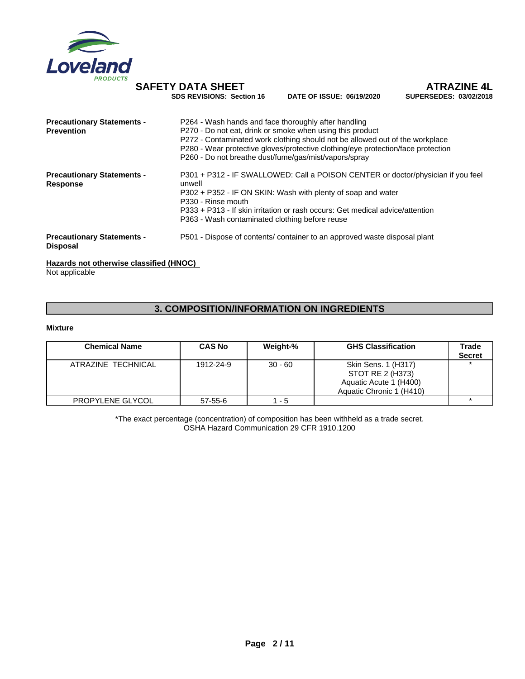

**DATE OF ISSUE: 06/19/2020** 

**SAFETY DATA SHEET**<br>
SDS REVISIONS: Section 16 DATE OF ISSUE: 06/19/2020 SUPERSEDES: 03/02/2018

| <b>Precautionary Statements -</b>                    | P264 - Wash hands and face thoroughly after handling                                       |
|------------------------------------------------------|--------------------------------------------------------------------------------------------|
| <b>Prevention</b>                                    | P270 - Do not eat, drink or smoke when using this product                                  |
|                                                      | P272 - Contaminated work clothing should not be allowed out of the workplace               |
|                                                      | P280 - Wear protective gloves/protective clothing/eye protection/face protection           |
|                                                      | P260 - Do not breathe dust/fume/gas/mist/vapors/spray                                      |
| <b>Precautionary Statements -</b><br><b>Response</b> | P301 + P312 - IF SWALLOWED: Call a POISON CENTER or doctor/physician if you feel<br>unwell |
|                                                      | P302 + P352 - IF ON SKIN: Wash with plenty of soap and water                               |
|                                                      | P <sub>330</sub> - Rinse mouth                                                             |
|                                                      | P333 + P313 - If skin irritation or rash occurs: Get medical advice/attention              |
|                                                      | P363 - Wash contaminated clothing before reuse                                             |
| <b>Precautionary Statements -</b><br><b>Disposal</b> | P501 - Dispose of contents/ container to an approved waste disposal plant                  |
|                                                      |                                                                                            |

### **Hazards not otherwise classified (HNOC)**

Not applicable

# **3. COMPOSITION/INFORMATION ON INGREDIENTS**

## **Mixture**

| <b>Chemical Name</b> | <b>CAS No</b> | Weight-%  | <b>GHS Classification</b>                                                                     | Trade<br><b>Secret</b> |
|----------------------|---------------|-----------|-----------------------------------------------------------------------------------------------|------------------------|
| ATRAZINE TECHNICAL   | 1912-24-9     | $30 - 60$ | Skin Sens. 1 (H317)<br>STOT RE 2 (H373)<br>Aquatic Acute 1 (H400)<br>Aquatic Chronic 1 (H410) |                        |
| PROPYLENE GLYCOL     | 57-55-6       | - 5       |                                                                                               |                        |

\*The exact percentage (concentration) of composition has been withheld as a trade secret. OSHA Hazard Communication 29 CFR 1910.1200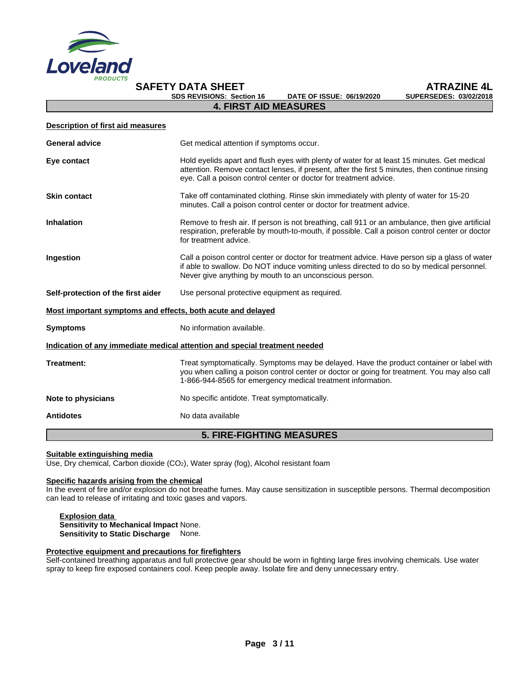

# **SDS REVISIONS: Section 16**

**SAFETY DATA SHEET**<br>
SDS REVISIONS: Section 16 DATE OF ISSUE: 06/19/2020 SUPERSEDES: 03/02/2018

| <b>Description of first aid measures</b>                    |                                                                                                                                                                                                                                                                    |  |
|-------------------------------------------------------------|--------------------------------------------------------------------------------------------------------------------------------------------------------------------------------------------------------------------------------------------------------------------|--|
| <b>General advice</b>                                       | Get medical attention if symptoms occur.                                                                                                                                                                                                                           |  |
| Eye contact                                                 | Hold eyelids apart and flush eyes with plenty of water for at least 15 minutes. Get medical<br>attention. Remove contact lenses, if present, after the first 5 minutes, then continue rinsing<br>eye. Call a poison control center or doctor for treatment advice. |  |
| <b>Skin contact</b>                                         | Take off contaminated clothing. Rinse skin immediately with plenty of water for 15-20<br>minutes. Call a poison control center or doctor for treatment advice.                                                                                                     |  |
| <b>Inhalation</b>                                           | Remove to fresh air. If person is not breathing, call 911 or an ambulance, then give artificial<br>respiration, preferable by mouth-to-mouth, if possible. Call a poison control center or doctor<br>for treatment advice.                                         |  |
| Ingestion                                                   | Call a poison control center or doctor for treatment advice. Have person sip a glass of water<br>if able to swallow. Do NOT induce vomiting unless directed to do so by medical personnel.<br>Never give anything by mouth to an unconscious person.               |  |
| Self-protection of the first aider                          | Use personal protective equipment as required.                                                                                                                                                                                                                     |  |
| Most important symptoms and effects, both acute and delayed |                                                                                                                                                                                                                                                                    |  |
| <b>Symptoms</b>                                             | No information available.                                                                                                                                                                                                                                          |  |
|                                                             | Indication of any immediate medical attention and special treatment needed                                                                                                                                                                                         |  |
| Treatment:                                                  | Treat symptomatically. Symptoms may be delayed. Have the product container or label with<br>you when calling a poison control center or doctor or going for treatment. You may also call<br>1-866-944-8565 for emergency medical treatment information.            |  |
| Note to physicians                                          | No specific antidote. Treat symptomatically.                                                                                                                                                                                                                       |  |
| <b>Antidotes</b>                                            | No data available                                                                                                                                                                                                                                                  |  |
|                                                             | <b>5. FIRE-FIGHTING MEASURES</b>                                                                                                                                                                                                                                   |  |

**4. FIRST AID MEASURES**

### **Suitable extinguishing media**

Use, Dry chemical, Carbon dioxide (CO2), Water spray (fog), Alcohol resistant foam

## **Specific hazards arising from the chemical**

In the event of fire and/or explosion do not breathe fumes. May cause sensitization in susceptible persons. Thermal decomposition can lead to release of irritating and toxic gases and vapors.

**Explosion data Sensitivity to Mechanical Impact** None. **Sensitivity to Static Discharge** None.

### **Protective equipment and precautions for firefighters**

Self-contained breathing apparatus and full protective gear should be worn in fighting large fires involving chemicals. Use water spray to keep fire exposed containers cool. Keep people away. Isolate fire and deny unnecessary entry.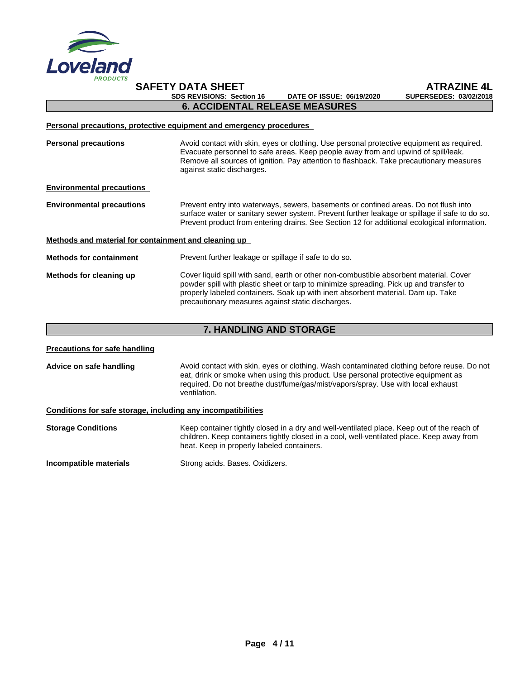

**SAFETY DATA SHEET ATRAZINE 4L SDS REVISIONS: Section 16 DATE OF ISSUE: 06/19/2020 SUPERSEDES: 03/02/2018 6. ACCIDENTAL RELEASE MEASURES**

### **Personal precautions, protective equipment and emergency procedures**

**Personal precautions** Avoid contact with skin, eyes or clothing. Use personal protective equipment as required.<br>Evacuate personnel to safe areas. Keep people away from and upwind of spill/leak. Remove all sources of ignition. Pay attention to flashback. Take precautionary measures against static discharges.

### **Environmental precautions**

**Environmental precautions** Prevent entry into waterways, sewers, basements or confined areas. Do not flush into surface water or sanitary sewer system. Prevent further leakage or spillage if safe to do so. Prevent product from entering drains. See Section 12 for additional ecological information.

### **Methods and material for containment and cleaning up**

**Methods for containment** Prevent further leakage or spillage if safe to do so.

### **Methods for cleaning up** Cover liquid spill with sand, earth or other non-combustible absorbent material. Cover powder spill with plastic sheet or tarp to minimize spreading. Pick up and transfer to properly labeled containers. Soak up with inert absorbent material. Dam up. Take precautionary measures against static discharges.

# **7. HANDLING AND STORAGE**

**Precautions for safe handling**

**Advice on safe handling** Avoid contact with skin, eyes or clothing. Wash contaminated clothing before reuse. Do not eat, drink or smoke when using this product. Use personal protective equipment as required. Do not breathe dust/fume/gas/mist/vapors/spray. Use with local exhaust ventilation.

## **Conditions for safe storage, including any incompatibilities**

**Storage Conditions** Keep container tightly closed in a dry and well-ventilated place. Keep out of the reach of children. Keep containers tightly closed in a cool, well-ventilated place. Keep away from heat. Keep in properly labeled containers.

**Incompatible materials** Strong acids. Bases. Oxidizers.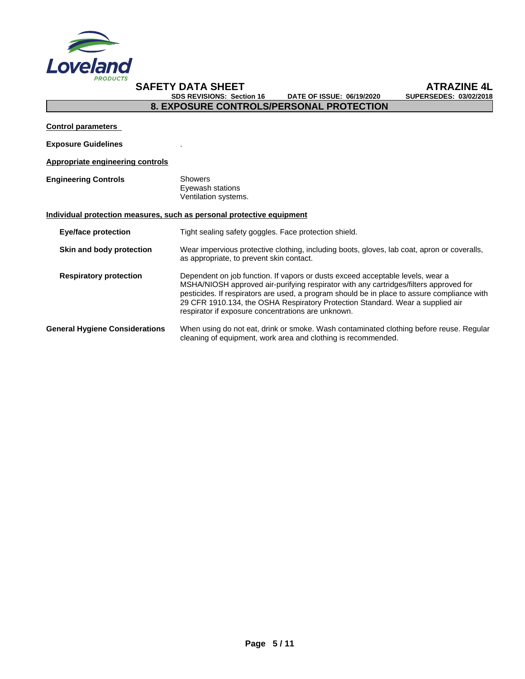

**SDS REVISIONS: Section 16** 

**SAFETY DATA SHEET**<br>
SDS REVISIONS: Section 16 DATE OF ISSUE: 06/19/2020 SUPERSEDES: 03/02/2018

# **8. EXPOSURE CONTROLS/PERSONAL PROTECTION**

**Control parameters**

**Exposure Guidelines** .

## **Appropriate engineering controls**

**Engineering Controls** Showers Eyewash stations Ventilation systems.

## **Individual protection measures, such as personal protective equipment**

| <b>Eye/face protection</b>            | Tight sealing safety goggles. Face protection shield.                                                                                                                                                                                                                                                                                                                                                          |
|---------------------------------------|----------------------------------------------------------------------------------------------------------------------------------------------------------------------------------------------------------------------------------------------------------------------------------------------------------------------------------------------------------------------------------------------------------------|
| Skin and body protection              | Wear impervious protective clothing, including boots, gloves, lab coat, apron or coveralls,<br>as appropriate, to prevent skin contact.                                                                                                                                                                                                                                                                        |
| <b>Respiratory protection</b>         | Dependent on job function. If vapors or dusts exceed acceptable levels, wear a<br>MSHA/NIOSH approved air-purifying respirator with any cartridges/filters approved for<br>pesticides. If respirators are used, a program should be in place to assure compliance with<br>29 CFR 1910.134, the OSHA Respiratory Protection Standard. Wear a supplied air<br>respirator if exposure concentrations are unknown. |
| <b>General Hygiene Considerations</b> | When using do not eat, drink or smoke. Wash contaminated clothing before reuse. Regular<br>cleaning of equipment, work area and clothing is recommended.                                                                                                                                                                                                                                                       |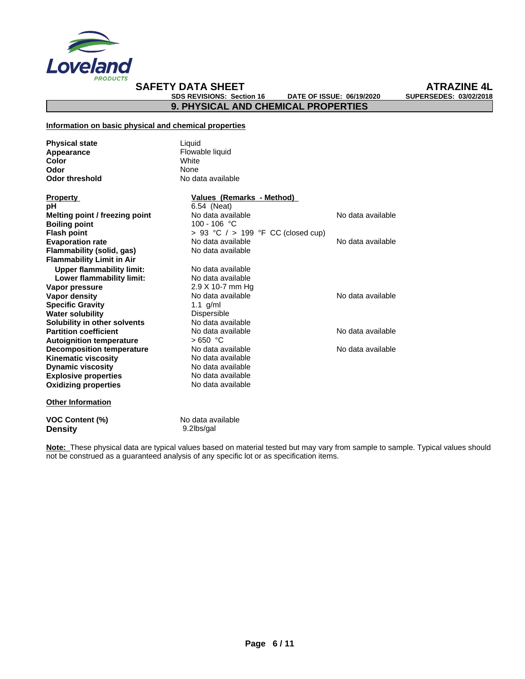

**SAFETY DATA SHEET**<br>
SDS REVISIONS: Section 16 DATE OF ISSUE: 06/19/2020 SUPERSEDES: 03/02/2018 **SDS REVISIONS: Section 16 DATE OF ISSUE: 06/19/2020 SUPERSEDES: 03/02/2018**

**9. PHYSICAL AND CHEMICAL PROPERTIES**

### **Information on basic physical and chemical properties**

| <b>Physical state</b>            | Liquid                             |                   |
|----------------------------------|------------------------------------|-------------------|
| Appearance                       | Flowable liquid                    |                   |
| Color                            | White                              |                   |
| Odor                             | None                               |                   |
| <b>Odor threshold</b>            | No data available                  |                   |
| <b>Property</b>                  | Values (Remarks - Method)          |                   |
| рH                               | 6.54 (Neat)                        |                   |
| Melting point / freezing point   | No data available                  | No data available |
| <b>Boiling point</b>             | 100 - 106 °C                       |                   |
| <b>Flash point</b>               | > 93 °C / > 199 °F CC (closed cup) |                   |
| <b>Evaporation rate</b>          | No data available                  | No data available |
| Flammability (solid, gas)        | No data available                  |                   |
| <b>Flammability Limit in Air</b> |                                    |                   |
| <b>Upper flammability limit:</b> | No data available                  |                   |
| Lower flammability limit:        | No data available                  |                   |
| Vapor pressure                   | $2.9$ X 10-7 mm Hg                 |                   |
| Vapor density                    | No data available                  | No data available |
| <b>Specific Gravity</b>          | 1.1 $q/ml$                         |                   |
| <b>Water solubility</b>          | <b>Dispersible</b>                 |                   |
| Solubility in other solvents     | No data available                  |                   |
| <b>Partition coefficient</b>     | No data available                  | No data available |
| <b>Autoignition temperature</b>  | $>650$ °C                          |                   |
| <b>Decomposition temperature</b> | No data available                  | No data available |
| <b>Kinematic viscosity</b>       | No data available                  |                   |
| <b>Dynamic viscosity</b>         | No data available                  |                   |
| <b>Explosive properties</b>      | No data available                  |                   |
| <b>Oxidizing properties</b>      | No data available                  |                   |
| <b>Other Information</b>         |                                    |                   |
| <b>VOC Content (%)</b>           | No data available                  |                   |
| <b>Density</b>                   | 9.2lbs/gal                         |                   |

**Note:** These physical data are typical values based on material tested but may vary from sample to sample. Typical values should not be construed as a guaranteed analysis of any specific lot or as specification items.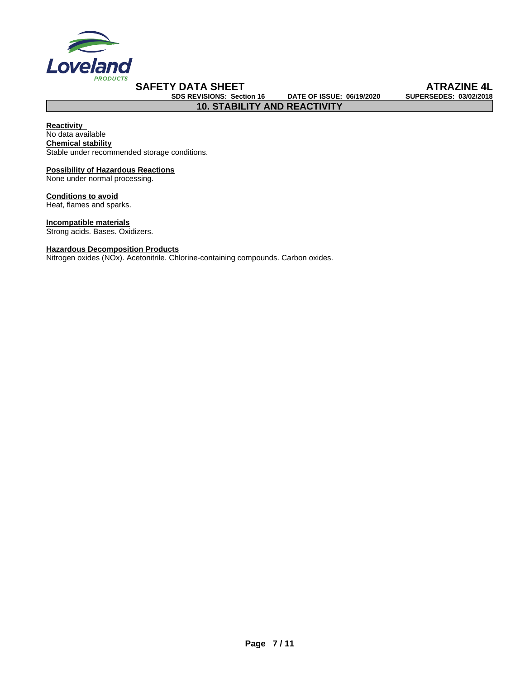

**SDS REVISIONS: Section 16 DATE OF ISSUE: 06/19/2020 SUPERSEDES: 03/02/2018**

**10. STABILITY AND REACTIVITY**

**SAFETY DATA SHEET**<br>
SDS REVISIONS: Section 16 DATE OF ISSUE: 06/19/2020 SUPERSEDES: 03/02/2018

**Reactivity Chemical stability** Stable under recommended storage conditions. No data available

### **Possibility of Hazardous Reactions** None under normal processing.

**Conditions to avoid**

Heat, flames and sparks.

**Incompatible materials** Strong acids. Bases. Oxidizers.

# **Hazardous Decomposition Products**

Nitrogen oxides (NOx). Acetonitrile. Chlorine-containing compounds. Carbon oxides.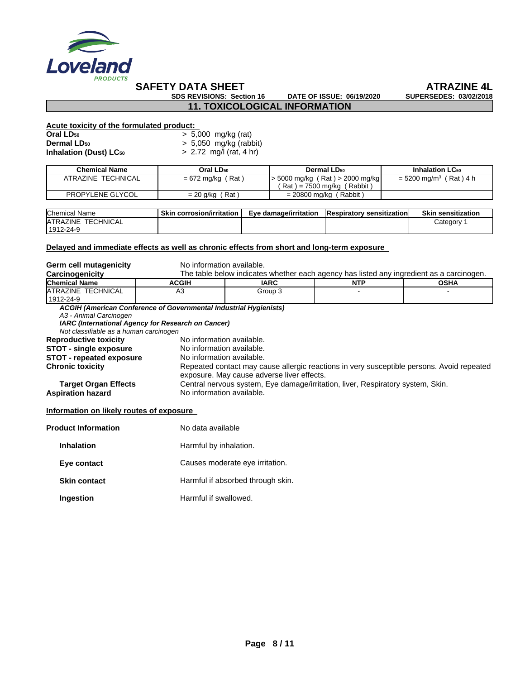

# **SAFETY DATA SHEET**<br>
SDS REVISIONS: Section 16 DATE OF ISSUE: 06/19/2020 SUPERSEDES: 03/02/2018

**SDS REVISIONS: Section 16 DATE OF ISSUE: 06/19/2020 SUPERSEDES: 03/02/2018**

### **11. TOXICOLOGICAL INFORMATION**

## **Acute toxicity of the formulated product:**

| Oral LD50          | $> 5,000$ mg/kg (rat)    |
|--------------------|--------------------------|
| <b>Dermal LD50</b> | $> 5,050$ mg/kg (rabbit) |

**Inhalation (Dust) LC<sup>50</sup>** > 2.72 mg/l (rat, 4 hr)

| Chemical Name      | Oral LD <sub>50</sub> | Dermal LD <sub>50</sub>       | <b>Inhalation LC<sub>50</sub></b>    |
|--------------------|-----------------------|-------------------------------|--------------------------------------|
| ATRAZINE TECHNICAL | $= 672$ mg/kg (Rat)   | 5000 mg/kg (Rat) > 2000 mg/kg | $=$ 5200 mg/m <sup>3</sup> (Rat) 4 h |
|                    |                       | (Rat) = 7500 mg/kg (Rabbit)   |                                      |
| PROPYLENE GLYCOL   | Rat<br>= 20 g/kg      | $= 20800$ mg/kg (Rabbit)      |                                      |

| <b>Chemical</b><br>Name              | Skin<br>∟corrosion/irritation | Eve damage/irritation | ' sensitizationi<br><b>IRespiratory</b> | <b>Skin</b><br>sensitization |
|--------------------------------------|-------------------------------|-----------------------|-----------------------------------------|------------------------------|
| <b>TECHNICAL</b><br><b>IATRAZINE</b> |                               |                       |                                         | Category                     |
| 1012<br>$2-24-9$                     |                               |                       |                                         |                              |

## **Delayed and immediate effects as well as chronic effects from short and long-term exposure**

| Germ cell mutagenicity                                                                           | No information available.                                                                                                                            |                                                                                                              |            |                                                                                           |  |  |
|--------------------------------------------------------------------------------------------------|------------------------------------------------------------------------------------------------------------------------------------------------------|--------------------------------------------------------------------------------------------------------------|------------|-------------------------------------------------------------------------------------------|--|--|
| Carcinogenicity                                                                                  |                                                                                                                                                      |                                                                                                              |            | The table below indicates whether each agency has listed any ingredient as a carcinogen.  |  |  |
| <b>Chemical Name</b>                                                                             | <b>ACGIH</b>                                                                                                                                         | <b>IARC</b>                                                                                                  | <b>NTP</b> | OSHA                                                                                      |  |  |
| <b>ATRAZINE TECHNICAL</b><br>1912-24-9                                                           | A <sub>3</sub>                                                                                                                                       | Group 3                                                                                                      |            |                                                                                           |  |  |
| A3 - Animal Carcinogen<br>Not classifiable as a human carcinogen<br><b>Reproductive toxicity</b> | ACGIH (American Conference of Governmental Industrial Hygienists)<br>IARC (International Agency for Research on Cancer)<br>No information available. |                                                                                                              |            |                                                                                           |  |  |
| STOT - single exposure<br><b>STOT - repeated exposure</b><br><b>Chronic toxicity</b>             | No information available.<br>No information available.                                                                                               | exposure. May cause adverse liver effects.                                                                   |            | Repeated contact may cause allergic reactions in very susceptible persons. Avoid repeated |  |  |
| <b>Target Organ Effects</b><br><b>Aspiration hazard</b>                                          |                                                                                                                                                      | Central nervous system, Eye damage/irritation, liver, Respiratory system, Skin.<br>No information available. |            |                                                                                           |  |  |
| Information on likely routes of exposure                                                         |                                                                                                                                                      |                                                                                                              |            |                                                                                           |  |  |
| <b>Product Information</b>                                                                       |                                                                                                                                                      | No data available                                                                                            |            |                                                                                           |  |  |
| <b>Inhalation</b>                                                                                |                                                                                                                                                      | Harmful by inhalation.                                                                                       |            |                                                                                           |  |  |
| Eye contact                                                                                      |                                                                                                                                                      | Causes moderate eye irritation.                                                                              |            |                                                                                           |  |  |

- **Skin contact Harmful if absorbed through skin.**
- **Ingestion** Harmful if swallowed.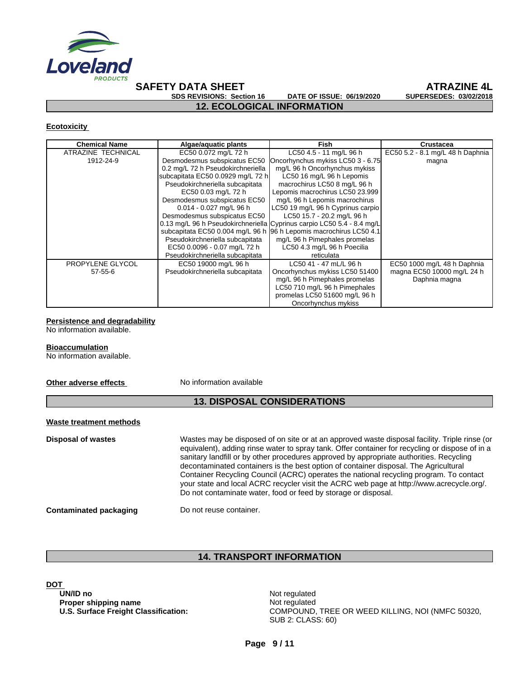

# **SAFETY DATA SHEET**<br>
SDS REVISIONS: Section 16 DATE OF ISSUE: 06/19/2020 SUPERSEDES: 03/02/2018

**SDS REVISIONS: Section 16 DATE OF ISSUE: 06/19/2020 SUPERSEDES: 03/02/2018**

**12. ECOLOGICAL INFORMATION**

### **Ecotoxicity**

| <b>Chemical Name</b> | Algae/aquatic plants              | Fish                                                                   | <b>Crustacea</b>                 |
|----------------------|-----------------------------------|------------------------------------------------------------------------|----------------------------------|
| ATRAZINE TECHNICAL   | EC50 0.072 mg/L 72 h              | LC50 4.5 - 11 mg/L 96 h                                                | EC50 5.2 - 8.1 mg/L 48 h Daphnia |
| 1912-24-9            | Desmodesmus subspicatus EC50      | Oncorhynchus mykiss LC50 3 - 6.75                                      | magna                            |
|                      | 0.2 mg/L 72 h Pseudokirchneriella | mg/L 96 h Oncorhynchus mykiss                                          |                                  |
|                      | subcapitata EC50 0.0929 mg/L 72 h | LC50 16 mg/L 96 h Lepomis                                              |                                  |
|                      | Pseudokirchneriella subcapitata   | macrochirus LC50 8 mg/L 96 h                                           |                                  |
|                      | EC50 0.03 mg/L 72 h               | Lepomis macrochirus LC50 23.999                                        |                                  |
|                      | Desmodesmus subspicatus EC50      | mg/L 96 h Lepomis macrochirus                                          |                                  |
|                      | 0.014 - 0.027 mg/L 96 h           | LC50 19 mg/L 96 h Cyprinus carpio                                      |                                  |
|                      | Desmodesmus subspicatus EC50      | LC50 15.7 - 20.2 mg/L 96 h                                             |                                  |
|                      |                                   | 0.13 mg/L 96 h Pseudokirchneriella Cyprinus carpio LC50 5.4 - 8.4 mg/L |                                  |
|                      |                                   | subcapitata EC50 0.004 mg/L 96 h 96 h Lepomis macrochirus LC50 4.1     |                                  |
|                      | Pseudokirchneriella subcapitata   | mg/L 96 h Pimephales promelas                                          |                                  |
|                      | EC50 0.0096 - 0.07 mg/L 72 h      | LC50 4.3 mg/L 96 h Poecilia                                            |                                  |
|                      | Pseudokirchneriella subcapitata   | reticulata                                                             |                                  |
| PROPYLENE GLYCOL     | EC50 19000 mg/L 96 h              | LC50 41 - 47 mL/L 96 h                                                 | EC50 1000 mg/L 48 h Daphnia      |
| $57 - 55 - 6$        | Pseudokirchneriella subcapitata   | Oncorhynchus mykiss LC50 51400                                         | magna EC50 10000 mg/L 24 h       |
|                      |                                   | mg/L 96 h Pimephales promelas                                          | Daphnia magna                    |
|                      |                                   | LC50 710 mg/L 96 h Pimephales                                          |                                  |
|                      |                                   | promelas LC50 51600 mg/L 96 h                                          |                                  |
|                      |                                   | Oncorhynchus mykiss                                                    |                                  |

# **Persistence and degradability**

No information available.

### **Bioaccumulation**

No information available.

### **Other adverse effects** No information available

# **13. DISPOSAL CONSIDERATIONS**

### **Waste treatment methods**

**Disposal of wastes** Wastes may be disposed of on site or at an approved waste disposal facility. Triple rinse (or equivalent), adding rinse water to spray tank. Offer container for recycling or dispose of in a sanitary landfill or by other procedures approved by appropriate authorities. Recycling decontaminated containers is the best option of container disposal. The Agricultural Container Recycling Council (ACRC) operates the national recycling program. To contact your state and local ACRC recycler visit the ACRC web page at http://www.acrecycle.org/. Do not contaminate water, food or feed by storage or disposal.

### **Contaminated packaging Do not reuse container.**

# **14. TRANSPORT INFORMATION**

DOT<br>UN/ID no **Proper shipping name** Not regulated

**Not regulated U.S. Surface Freight Classification:** COMPOUND, TREE OR WEED KILLING, NOI (NMFC 50320, SUB 2: CLASS: 60)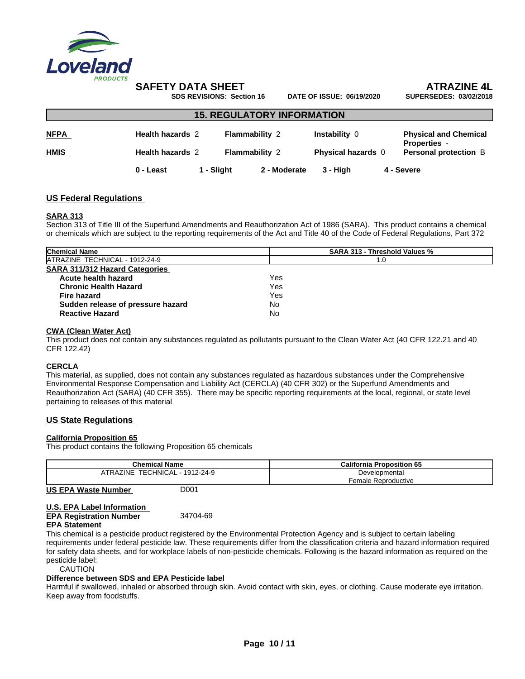

# **SAFETY DATA SHEET**<br>
SDS REVISIONS: Section 16 DATE OF ISSUE: 06/19/2020 SUPERSEDES: 03/02/2018

**SDS REVISIONS: Section 16 DATE OF ISSUE: 06/19/2020** 

| <b>15. REGULATORY INFORMATION</b> |                         |          |                                                |              |                                            |  |                                                                                     |  |
|-----------------------------------|-------------------------|----------|------------------------------------------------|--------------|--------------------------------------------|--|-------------------------------------------------------------------------------------|--|
| <b>NFPA</b>                       | <b>Health hazards 2</b> |          | <b>Flammability 2</b><br><b>Flammability 2</b> |              | Instability 0<br><b>Physical hazards</b> 0 |  | <b>Physical and Chemical</b><br><b>Properties -</b><br><b>Personal protection B</b> |  |
| <b>HMIS</b>                       | Health hazards 2        |          |                                                |              |                                            |  |                                                                                     |  |
|                                   | 0 - Least               | - Sliaht |                                                | 2 - Moderate | 3 - Hiah                                   |  | 4 - Severe                                                                          |  |

## **US Federal Regulations**

### **SARA 313**

Section 313 of Title III of the Superfund Amendments and Reauthorization Act of 1986 (SARA). This product contains a chemical or chemicals which are subject to the reporting requirements of the Act and Title 40 of the Code of Federal Regulations, Part 372

| <b>Chemical Name</b>                  | <b>SARA 313 - Threshold Values %</b> |  |  |  |
|---------------------------------------|--------------------------------------|--|--|--|
| ATRAZINE TECHNICAL - 1912-24-9        | l .O                                 |  |  |  |
| <b>SARA 311/312 Hazard Categories</b> |                                      |  |  |  |
| Acute health hazard                   | Yes                                  |  |  |  |
| <b>Chronic Health Hazard</b>          | Yes                                  |  |  |  |
| Fire hazard                           | Yes                                  |  |  |  |
| Sudden release of pressure hazard     | No                                   |  |  |  |
| <b>Reactive Hazard</b>                | No                                   |  |  |  |

### **CWA (Clean WaterAct)**

This product does not contain any substances regulated as pollutants pursuant to the Clean Water Act (40 CFR 122.21 and 40 CFR 122.42)

### **CERCLA**

This material, as supplied, does not contain any substances regulated as hazardous substances under the Comprehensive Environmental Response Compensation and Liability Act (CERCLA) (40 CFR 302) or the Superfund Amendments and Reauthorization Act (SARA) (40 CFR 355). There may be specific reporting requirements at the local, regional, or state level pertaining to releases of this material

### **US State Regulations**

### **California Proposition 65**

This product contains the following Proposition 65 chemicals

| <b>Chemical Name</b>                          | <b>California Proposition 65</b> |
|-----------------------------------------------|----------------------------------|
| TECHNICAL<br><b>TRAZ</b><br>1912-24-9<br>2INE | Developmental                    |
|                                               | Female Reproductive              |

### **US EPA Waste Number** D001

### **U.S. EPA Label Information EPA Registration Number** 34704-69 **EPA Statement**

This chemical is a pesticide product registered by the Environmental Protection Agency and is subject to certain labeling requirements under federal pesticide law. These requirements differ from the classification criteria and hazard information required for safety data sheets, and for workplace labels of non-pesticide chemicals. Following is the hazard information as required on the pesticide label:

### CAUTION

### **Difference between SDS and EPA Pesticide label**

Harmful if swallowed, inhaled or absorbed through skin. Avoid contact with skin, eyes, or clothing. Cause moderate eye irritation. Keep away from foodstuffs.